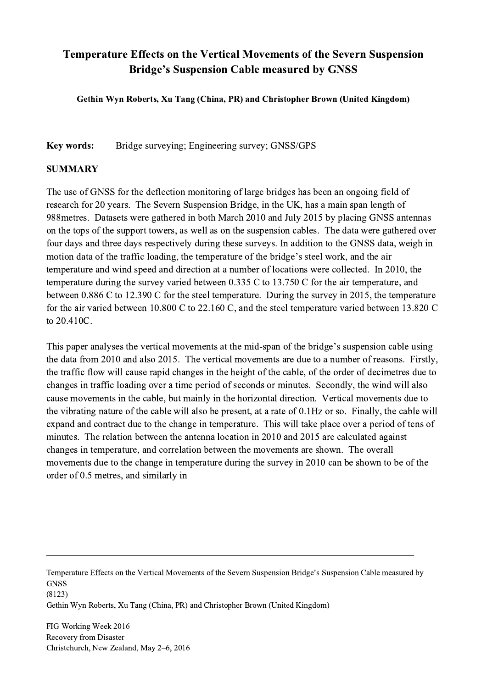## Temperature Effects on the Vertical Movements of the Severn Suspension Bridge's Suspension Cable measured by GNSS

Gethin Wyn Roberts, Xu Tang (China, PR) and Christopher Brown (United Kingdom)

Key words: Bridge surveying; Engineering survey; GNSS/GPS

## SUMMARY

The use of GNSS for the deflection monitoring of large bridges has been an ongoing field of research for 20 years. The Severn Suspension Bridge, in the UK, has a main span length of 988metres. Datasets were gathered in both March 2010 and July 2015 by placing GNSS antennas on the tops of the support towers, as well as on the suspension cables. The data were gathered over four days and three days respectively during these surveys. In addition to the GNSS data, weigh in motion data of the traffic loading, the temperature of the bridge's steel work, and the air temperature and wind speed and direction at a number of locations were collected. In 2010, the temperature during the survey varied between 0.335 C to 13.750 C for the air temperature, and between 0.886 C to 12.390 C for the steel temperature. During the survey in 2015, the temperature for the air varied between 10.800 C to 22.160 C, and the steel temperature varied between 13.820 C to 20.410C.

This paper analyses the vertical movements at the mid-span of the bridge's suspension cable using the data from 2010 and also 2015. The vertical movements are due to a number of reasons. Firstly, the traffic flow will cause rapid changes in the height of the cable, of the order of decimetres due to changes in traffic loading over a time period of seconds or minutes. Secondly, the wind will also cause movements in the cable, but mainly in the horizontal direction. Vertical movements due to the vibrating nature of the cable will also be present, at a rate of 0.1Hz or so. Finally, the cable will expand and contract due to the change in temperature. This will take place over a period of tens of minutes. The relation between the antenna location in 2010 and 2015 are calculated against changes in temperature, and correlation between the movements are shown. The overall movements due to the change in temperature during the survey in 2010 can be shown to be of the order of 0.5 metres, and similarly in

Temperature Effects on the Vertical Movements of the Severn Suspension Bridge's Suspension Cable measured by **GNSS** (8123)

 $\mathcal{L}_\mathcal{L} = \{ \mathcal{L}_\mathcal{L} = \{ \mathcal{L}_\mathcal{L} = \{ \mathcal{L}_\mathcal{L} = \{ \mathcal{L}_\mathcal{L} = \{ \mathcal{L}_\mathcal{L} = \{ \mathcal{L}_\mathcal{L} = \{ \mathcal{L}_\mathcal{L} = \{ \mathcal{L}_\mathcal{L} = \{ \mathcal{L}_\mathcal{L} = \{ \mathcal{L}_\mathcal{L} = \{ \mathcal{L}_\mathcal{L} = \{ \mathcal{L}_\mathcal{L} = \{ \mathcal{L}_\mathcal{L} = \{ \mathcal{L}_\mathcal{$ 

Gethin Wyn Roberts, Xu Tang (China, PR) and Christopher Brown (United Kingdom)

FIG Working Week 2016 Recovery from Disaster Christchurch, New Zealand, May 2–6, 2016